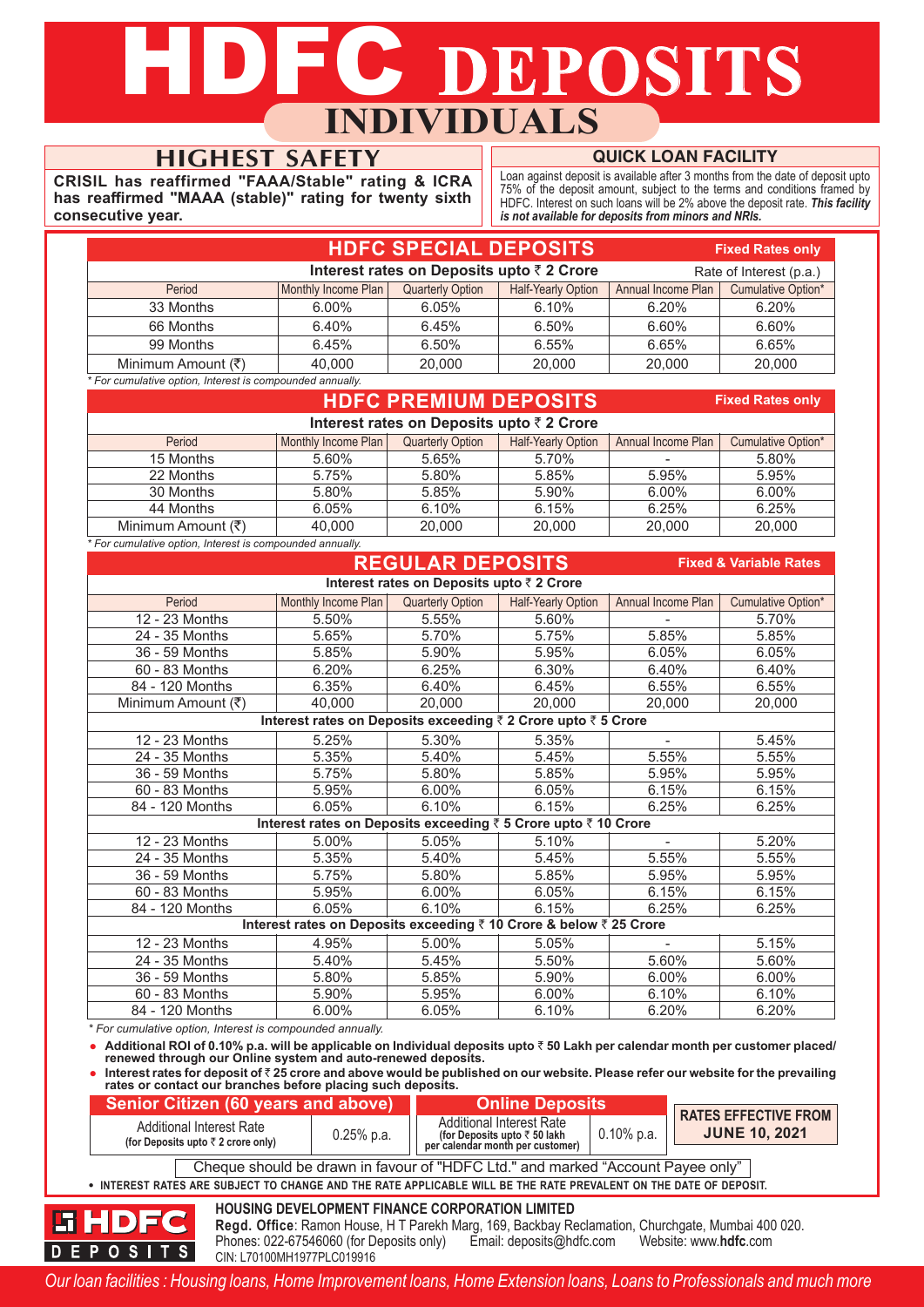# **JFC DEPOSITS INDIVIDUALS**

## **HIGHEST SAFETY**

**CRISIL has reaffirmed "FAAA/Stable" rating & ICRA has reaffirmed "MAAA (stable)" rating for twenty sixth consecutive year.**

### **QUICK LOAN FACILITY**

Loan against deposit is available after 3 months from the date of deposit upto 75% of the deposit amount, subject to the terms and conditions framed by HDFC. Interest on such loans will be 2% above the deposit rate. *This facility is not available for deposits from minors and NRIs.*

| <b>HDFC SPECIAL DEPOSITS</b><br><b>Fixed Rates only</b>              |                     |                         |                    |                    |                           |  |  |  |  |
|----------------------------------------------------------------------|---------------------|-------------------------|--------------------|--------------------|---------------------------|--|--|--|--|
| Interest rates on Deposits upto ₹ 2 Crore<br>Rate of Interest (p.a.) |                     |                         |                    |                    |                           |  |  |  |  |
| Period                                                               | Monthly Income Plan | <b>Quarterly Option</b> | Half-Yearly Option | Annual Income Plan | <b>Cumulative Option*</b> |  |  |  |  |
| 33 Months                                                            | $6.00\%$            | 6.05%                   | 6.10%              | 6.20%              | 6.20%                     |  |  |  |  |
| 66 Months                                                            | 6.40%               | 6.45%                   | 6.50%              | 6.60%              | 6.60%                     |  |  |  |  |
| 99 Months                                                            | 6.45%               | 6.50%                   | 6.55%              | 6.65%              | 6.65%                     |  |  |  |  |
| Minimum Amount (₹)                                                   | 40.000              | 20,000                  | 20,000             | 20,000             | 20,000                    |  |  |  |  |

*\* For cumulative option, Interest is compounded annually.*

|                                                           |                     | <b>Fixed Rates only</b> |                           |                    |                    |  |  |  |  |
|-----------------------------------------------------------|---------------------|-------------------------|---------------------------|--------------------|--------------------|--|--|--|--|
| Interest rates on Deposits upto ₹ 2 Crore                 |                     |                         |                           |                    |                    |  |  |  |  |
| Period                                                    | Monthly Income Plan | <b>Quarterly Option</b> | <b>Half-Yearly Option</b> | Annual Income Plan | Cumulative Option* |  |  |  |  |
| 15 Months                                                 | 5.60%               | 5.65%                   | 5.70%                     |                    | 5.80%              |  |  |  |  |
| 22 Months                                                 | 5.75%               | 5.80%                   | 5.85%                     | 5.95%              | 5.95%              |  |  |  |  |
| 30 Months                                                 | 5.80%               | 5.85%                   | 5.90%                     | 6.00%              | $6.00\%$           |  |  |  |  |
| 44 Months                                                 | 6.05%               | 6.10%                   | 6.15%                     | 6.25%              | 6.25%              |  |  |  |  |
| Minimum Amount (₹)                                        | 40.000              | 20,000                  | 20,000                    | 20,000             | 20,000             |  |  |  |  |
| * For cumulative option, Interest is compounded annually. |                     |                         |                           |                    |                    |  |  |  |  |

| <b>REGULAR DEPOSITS</b><br><b>Fixed &amp; Variable Rates</b> |                                                                    |                         |                    |                    |                    |  |  |  |  |  |  |
|--------------------------------------------------------------|--------------------------------------------------------------------|-------------------------|--------------------|--------------------|--------------------|--|--|--|--|--|--|
|                                                              | Interest rates on Deposits upto ₹ 2 Crore                          |                         |                    |                    |                    |  |  |  |  |  |  |
| Period                                                       | Monthly Income Plan                                                | <b>Quarterly Option</b> | Half-Yearly Option | Annual Income Plan | Cumulative Option* |  |  |  |  |  |  |
| 12 - 23 Months                                               | 5.50%                                                              | 5.55%                   | 5.60%              |                    | 5.70%              |  |  |  |  |  |  |
| 24 - 35 Months                                               | 5.65%                                                              | 5.70%                   | 5.75%              | 5.85%              | 5.85%              |  |  |  |  |  |  |
| 36 - 59 Months                                               | 5.85%                                                              | 5.90%                   | 5.95%              | 6.05%              | 6.05%              |  |  |  |  |  |  |
| 60 - 83 Months                                               | 6.20%                                                              | 6.25%                   | 6.30%              | 6.40%              | 6.40%              |  |  |  |  |  |  |
| 84 - 120 Months                                              | 6.35%                                                              | 6.40%                   | 6.45%              | 6.55%              | 6.55%              |  |  |  |  |  |  |
| Minimum Amount (₹)                                           | 40,000                                                             | 20,000                  | 20,000             | 20,000             | 20,000             |  |  |  |  |  |  |
|                                                              | Interest rates on Deposits exceeding ₹ 2 Crore upto ₹ 5 Crore      |                         |                    |                    |                    |  |  |  |  |  |  |
| 12 - 23 Months                                               | 5.25%                                                              | 5.30%                   | 5.35%              | $\overline{a}$     | 5.45%              |  |  |  |  |  |  |
| 24 - 35 Months                                               | 5.35%                                                              | 5.40%                   | 5.45%              | 5.55%              | 5.55%              |  |  |  |  |  |  |
| 36 - 59 Months                                               | 5.75%                                                              | 5.80%                   | 5.85%              | 5.95%              | 5.95%              |  |  |  |  |  |  |
| 60 - 83 Months                                               | 5.95%                                                              | 6.00%                   | 6.05%              | 6.15%              | 6.15%              |  |  |  |  |  |  |
| 84 - 120 Months                                              | 6.05%                                                              | 6.10%                   | 6.15%              | 6.25%              | 6.25%              |  |  |  |  |  |  |
|                                                              | Interest rates on Deposits exceeding ₹ 5 Crore upto ₹ 10 Crore     |                         |                    |                    |                    |  |  |  |  |  |  |
| 12 - 23 Months                                               | 5.00%                                                              | 5.05%                   | 5.10%              |                    | 5.20%              |  |  |  |  |  |  |
| 24 - 35 Months                                               | 5.35%                                                              | 5.40%                   | 5.45%              | 5.55%              | 5.55%              |  |  |  |  |  |  |
| 36 - 59 Months                                               | 5.75%                                                              | 5.80%                   | 5.85%              | 5.95%              | 5.95%              |  |  |  |  |  |  |
| 60 - 83 Months                                               | 5.95%                                                              | 6.00%                   | 6.05%              | 6.15%              | 6.15%              |  |  |  |  |  |  |
| 84 - 120 Months                                              | 6.05%                                                              | 6.10%                   | 6.15%              | 6.25%              | 6.25%              |  |  |  |  |  |  |
|                                                              | Interest rates on Deposits exceeding ₹ 10 Crore & below ₹ 25 Crore |                         |                    |                    |                    |  |  |  |  |  |  |
| 12 - 23 Months                                               | 4.95%                                                              | 5.00%                   | 5.05%              |                    | 5.15%              |  |  |  |  |  |  |
| 24 - 35 Months                                               | 5.40%                                                              | 5.45%                   | 5.50%              | 5.60%              | 5.60%              |  |  |  |  |  |  |
| 36 - 59 Months                                               | 5.80%                                                              | 5.85%                   | 5.90%              | 6.00%              | 6.00%              |  |  |  |  |  |  |
| 60 - 83 Months                                               | 5.90%                                                              | 5.95%                   | 6.00%              | 6.10%              | 6.10%              |  |  |  |  |  |  |
| 84 - 120 Months                                              | 6.00%                                                              | 6.05%                   | 6.10%              | 6.20%              | 6.20%              |  |  |  |  |  |  |

*\* For cumulative option, Interest is compounded annually.*

h

**DEPOSITS** 

**•** Additional ROI of 0.10% p.a. will be applicable on Individual deposits upto ₹50 Lakh per calendar month per customer placed/ **renewed through our Online system and auto-renewed deposits.**

■ Interest rates for deposit of ₹25 crore and above would be published on our website. Please refer our website for the prevailing **rates or contact our branches before placing such deposits.**

| Senior Citizen (60 years and above)                                                                               |              | <b>Online Deposits</b>                                                                                                                                             | <b>RATES EFFECTIVE FROM</b> |  |  |  |  |  |
|-------------------------------------------------------------------------------------------------------------------|--------------|--------------------------------------------------------------------------------------------------------------------------------------------------------------------|-----------------------------|--|--|--|--|--|
| Additional Interest Rate<br>(for Deposits upto $\bar{z}$ 2 crore only)                                            | $0.25%$ p.a. | <b>Additional Interest Rate</b><br>(for Deposits upto ₹ 50 lakh<br>per calendar month per customer)                                                                | <b>JUNE 10, 2021</b>        |  |  |  |  |  |
| Cheque should be drawn in favour of "HDFC Ltd." and marked "Account Payee only"                                   |              |                                                                                                                                                                    |                             |  |  |  |  |  |
| . INTEREST RATES ARE SUBJECT TO CHANGE AND THE RATE APPLICABLE WILL BE THE RATE PREVALENT ON THE DATE OF DEPOSIT. |              |                                                                                                                                                                    |                             |  |  |  |  |  |
| HDFC                                                                                                              |              | <b>HOUSING DEVELOPMENT FINANCE CORPORATION LIMITED</b><br><b>Read, Office:</b> Ramon House, H.T. Parekh Marg, 169, Backbay Reclamation, Churchgate, Mumbai 400,020 |                             |  |  |  |  |  |

**Regd. Office**: Ramon House, H T Parekh Marg, 169, Backbay Reclamation, Churchgate, Mumbai 400 020. Phones: 022-67546060 (for Deposits only) Email: deposits@hdfc.com Website: www.**hdfc**.com CIN: L70100MH1977PLC019916

*Our loan facilities : Housing loans, Home Improvement loans, Home Extension loans, Loans to Professionals and much more*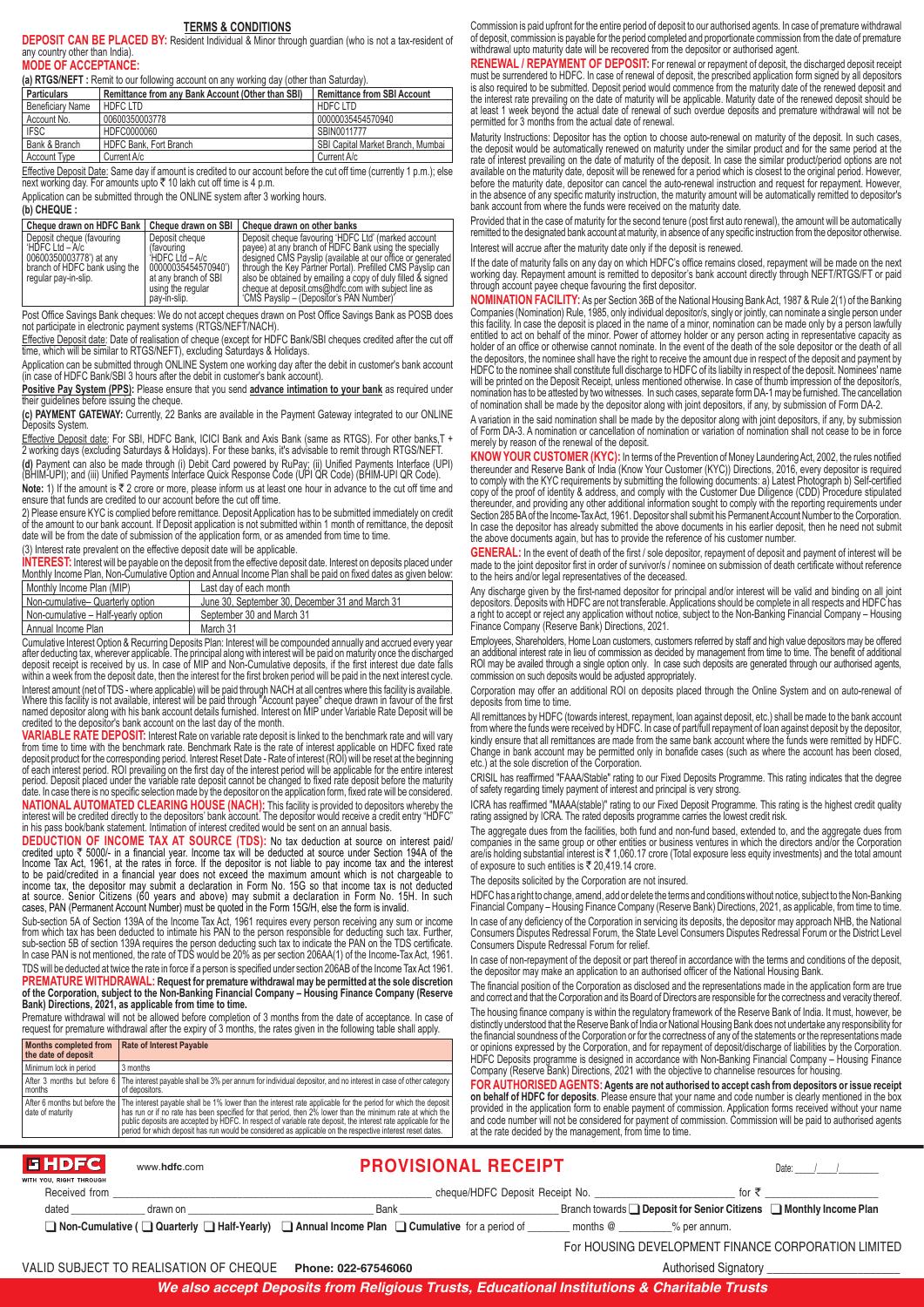#### **TERMS & CONDITIONS**

**DEPOSIT CAN BE PLACED BY:** Resident Individual & Minor through guardian (who is not a tax-resident of any country other than India).

#### **MODE OF ACCEPTANCE:**

**(a) RTGS/NEFT :** Remit to our following account on any working day (other than Saturday).

| <b>Particulars</b>      | Remittance from any Bank Account (Other than SBI) | Remittance from SBI Account       |
|-------------------------|---------------------------------------------------|-----------------------------------|
| <b>Beneficiary Name</b> | HDFC LTD                                          | <b>HDFCLTD</b>                    |
| Account No.             | 00600350003778                                    | 00000035454570940                 |
| <b>IFSC</b>             | HDFC0000060                                       | SBIN0011777                       |
| Bank & Branch           | HDFC Bank, Fort Branch                            | SBI Capital Market Branch, Mumbai |
| <b>Account Type</b>     | Current A/c                                       | Current A/c                       |

<u>Effective Deposit Date:</u> Same day if amount is credited to our account before the cut off time (currently 1 p.m.); else<br>next working day. For amounts upto ₹ 10 lakh cut off time is 4 p.m.

Application can be submitted through the ONLINE system after 3 working hours.

#### **(b) CHEQUE :**

|                                                                                                                                 |                                                                                                                                    | Cheque drawn on HDFC Bank   Cheque drawn on SBI   Cheque drawn on other banks                                                                                                                                                                                                                                                                                                                              |
|---------------------------------------------------------------------------------------------------------------------------------|------------------------------------------------------------------------------------------------------------------------------------|------------------------------------------------------------------------------------------------------------------------------------------------------------------------------------------------------------------------------------------------------------------------------------------------------------------------------------------------------------------------------------------------------------|
| Deposit cheque (favouring<br>HDFC Ltd - A/c<br>00600350003778') at any<br>branch of HDFC bank using the<br>regular pay-in-slip. | Deposit cheque<br>(favouring<br>HDFC Ltd - A/c<br>00000035454570940')<br>at any branch of SBI<br>using the regular<br>pay-in-slip. | Deposit cheque favouring 'HDFC Ltd' (marked account<br>payee) at any branch of HDFC Bank using the specially<br>designed CMS Payslip (available at our office or generated<br>through the Key Partner Portal). Prefilled CMS Payslip can<br>also be obtained by emailing a copy of duly filled & signed<br>cheque at deposit.cms@hdfc.com with subject line as<br>'CMS Payslip - (Depositor's PAN Number)' |

Post Office Savings Bank cheques: We do not accept cheques drawn on Post Office Savings Bank as POSB does not participate in electronic payment systems (RTGS/NEFT/NACH).

Effective Deposit date: Date of realisation of cheque (except for HDFC Bank/SBI cheques credited after the cut off time, which will be similar to RTGS/NEFT), excluding Saturdays & Holidays.

Application can be submitted through ONLINE System one working day after the debit in customer's bank account (in case of HDFC Bank/SBI 3 hours after the debit in customer's bank account).

**Positive Pay System (PPS):** Please ensure that you send **advance intimation to your bank** as required under their guidelines before issuing the cheque.

**(c) PAYMENT GATEWAY:** Currently, 22 Banks are available in the Payment Gateway integrated to our ONLINE eposits System

E<del>ffective Deposit date</del>: For SBI, HDFC Bank, ICICI Bank and Axis Bank (same as RTGS). For other banks,T +<br>2 working days (excluding Saturdays & Holidays). For these banks, it's advisable to remit through RTGS/NEFT.

**(d)** Payment can also be made through (i) Debit Card powered by RuPay; (ii) Unified Payments Interface (UPI) (BHIM-UPI); and (iii) Unified Payments Interface Quick Response Code (UPI QR Code) (BHIM-UPI QR Code). **Note:** 1) If the amount is  $\bar{\tau}$  2 crore or more, please inform us at least one hour in advance to the cut off time and ensure that funds are credited to our account before the cut off time.

2) Please ensure KYC is complied before remittance. Deposit Application has to be submitted immediately on credit of the amount to our bank account. If Deposit application is not submitted within 1 month of remittance, the deposit date will be from the date of submission of the application form, or as amended from time to time.

(3) Interest rate prevalent on the effective deposit date will be applicable.

**INTEREST:** Interest will be payable on the deposit from the effective deposit date. Interest on deposits placed under Monthly Income Plan, Non-Cumulative Option and Annual Income Plan shall be paid on fixed dates as given below:

| I Monthly Income Plan (MIP)         | Last day of each month                          |
|-------------------------------------|-------------------------------------------------|
| Non-cumulative- Quarterly option    | June 30, September 30, December 31 and March 31 |
| Non-cumulative - Half-yearly option | September 30 and March 31                       |
| Annual Income Plan                  | March 31                                        |

Cumulative Interest Option & Recurring Deposits Plan: Interest will be compounded annually and accrued every year<br>after deducting tax, wherever applicable. The principal along with interest will be paid on maturity once th deposit receipt is received by us. In case of MIP and Non-Cumulative deposits, if the first interest due date falls<br>within a week from the deposit date, then the interest for the first broken period will be paid in the nex Interest amount (net of TDS - where applicable) will be paid through NACH at all centres where this facility is available.<br>Where this facility is not available, interest will be paid through "Account payee" cheque drawn in

credited to the depositor's bank account on the last day of the month. **VARIABLE RATE DEPOSIT:** Interest Rate on variable rate deposit is linked to the benchmark rate and will vary from time to time with the benchmark rate. Benchmark Rate is the rate of interest applicable on HDFC fixed rate<br>deposit product for the corresponding period. Interest Reset Date - Rate of interest (ROI) will be reset at th

of each interest period. ROI prevailing on the first day of the interest period will be applicable for the entire interest<br>period. Deposit placed under the variable rate deposit cannot be changed to fixed rate deposit befo date. In case there is no specific selection made by the depositor on the application form, fixed rate will be considered

**NATIONAL AUTOMATED CLEARING HOUSE (NACH):** This facility is provided to depositors whereby the<br>interest will be credited directly to the depositors' bank account. The depositor would receive a credit entry "HDFC" in his pass book/bank statement. Intimation of interest credited would be sent on an annual basis.

**DEDUCTION OF INCOME TAX AT SOURCE (TDS):** No tax deduction at source on interest paid/ credited upto ₹ 5000/- in a financial year. Income tax will be deducted at source under Section 194A of the<br>Income Tax Act, 1961, at the rates in force. If the depositor is not liable to pay income tax and the interest to be paid/credited in a financial year does not exceed the maximum amount which is not chargeable to income tax, the depositor may submit a declaration in Form No. 15G so that income tax is not deducted at source. Senior Citizens (60 years and above) may submit a declaration in Form No. 15H. In such cases, PAN (Permanent Account Number) must be quoted in the Form 15G/H, else the form is invalid.

Sub-section 5A of Section 139A of the Income Tax Act, 1961 requires every person receiving any sum or income from which tax has been deducted to intimate his PAN to the person responsible for deducting such tax. Further,<br>sub-section 5B of section 139A requires the person deducting such tax to indicate the PAN on the TDS certifica

TDS will be deducted at twice the rate in force if a person is specified under section 206AB of the Income Tax Act 1961. **PREMATURE WITHDRAWAL: Request for premature withdrawal may be permitted at the sole discretion of the Corporation, subject to the Non-Banking Financial Company – Housing Finance Company (Reserve Bank) Directions, 2021, as applicable from time to time.**

Premature withdrawal will not be allowed before completion of 3 months from the date of acceptance. In case of request for premature withdrawal after the expiry of 3 months, the rates given in the following table shall apply.

| <b>Months completed from</b><br>the date of deposit | <b>Rate of Interest Payable</b>                                                                                                                                                                                                                                                                                                                                                                                                                                                            |
|-----------------------------------------------------|--------------------------------------------------------------------------------------------------------------------------------------------------------------------------------------------------------------------------------------------------------------------------------------------------------------------------------------------------------------------------------------------------------------------------------------------------------------------------------------------|
| Minimum lock in period                              | 3 months                                                                                                                                                                                                                                                                                                                                                                                                                                                                                   |
| months                                              | After 3 months but before 6 The interest payable shall be 3% per annum for individual depositor, and no interest in case of other category<br>of depositors.                                                                                                                                                                                                                                                                                                                               |
| I date of maturity                                  | After 6 months but before the The interest payable shall be 1% lower than the interest rate applicable for the period for which the deposit<br>has run or if no rate has been specified for that period, then 2% lower than the minimum rate at which the<br>public deposits are accepted by HDFC. In respect of variable rate deposit, the interest rate applicable for the<br>period for which deposit has run would be considered as applicable on the respective interest reset dates. |

Commission is paid upfront for the entire period of deposit to our authorised agents. In case of premature withdrawal of deposit, commission is payable for the period completed and proportionate commission from the date of premature withdrawal upto maturity date will be recovered from the depositor or authorised agent.

RENEWAL / REPAYMENT OF DEPOSIT: For renewal or repayment of deposit, the discharged deposit receipt must be surrendered to HDFC. In case of renewal of deposit, the prescribed application form signed by all depositors is also required to be submitted. Deposit period would commence from the maturity date of the renewed deposit and the interest rate prevailing on the date of maturity will be applicable. Maturity date of the renewed deposit should be at least 1 week beyond the actual date of renewal of such overdue deposits and premature withdrawal will not be permitted for 3 months from the actual date of renewal.

Maturity Instructions: Depositor has the option to choose auto-renewal on maturity of the deposit. In such cases the deposit would be automatically renewed on maturity under the similar product and for the same period at the rate of interest prevailing on the date of maturity of the deposit. In case the similar product/period options are not available on the maturity date, deposit will be renewed for a period which is closest to the original period. However, before the maturity date, depositor can cancel the auto-renewal instruction and request for repayment. However, in the absence of any specific maturity instruction, the maturity amount will be automatically remitted to depositor's bank account from where the funds were received on the maturity date.

Provided that in the case of maturity for the second tenure (post first auto renewal), the amount will be automatically remitted to the designated bank account at maturity, in absence of any specific instruction from the depositor otherwise. Interest will accrue after the maturity date only if the deposit is renewed.

If the date of maturity falls on any day on which HDFC's office remains closed, repayment will be made on the next working day. Repayment amount is remitted to depositor's bank account directly through NEFT/RTGS/FT or paid through account payee cheque favouring the first depositor.

**NOMINATION FACILITY:** As per Section 36B of the National Housing Bank Act, 1987 & Rule 2(1) of the Banking Companies (Nomination) Rule, 1985, only individual depositor/s, singly or jointly, can nominate a single person under this facility. In case the deposit is placed in the name of a minor, nomination can be made only by a person lawfully entitled to act on behalf of the minor. Power of attorney holder or any person acting in representative capacity as holder of an office or otherwise cannot nominate. In the event of the death of the sole depositor or the death of all the depositors, the nominee shall have the right to receive the amount due in respect of the deposit and payment by<br>HDFC to the nominee shall constitute full discharge to HDFC of its liabilty in respect of the deposit. Nom will be printed on the Deposit Receipt, unless mentioned otherwise. In case of thumb impression of the depositor/s nomination has to be attested by two witnesses. In such cases, separate form DA-1 may be furnished. The cancellation of nomination shall be made by the depositor along with joint depositors, if any, by submission of Form DA-2.

A variation in the said nomination shall be made by the depositor along with joint depositors, if any, by submission<br>of Form DA-3. A nomination or cancellation of nomination or variation of nomination shall not cease to be merely by reason of the renewal of the deposit.

**KNOW YOUR CUSTOMER (KYC):** In terms of the Prevention of Money Laundering Act, 2002, the rules notified thereunder and Reserve Bank of India (Know Your Customer (KYC)) Directions, 2016, every depositor is required to comply with the KYC requirements by submitting the following documents: a) Latest Photograph b) Self-certified<br>copy of the proof of identity & address, and comply with the Customer Due Diligence (CDD) Procedure stipulat In case the depositor has already submitted the above documents in his earlier deposit, then he need not submit the above documents again, but has to provide the reference of his customer number.

**GENERAL:** In the event of death of the first / sole depositor, repayment of deposit and payment of interest will be made to the joint depositor first in order of survivor/s / nominee on submission of death certificate without reference to the heirs and/or legal representatives of the deceased.

Any discharge given by the first-named depositor for principal and/or interest will be valid and binding on all joint depositors. Deposits with HDFC are not transferable. Applications should be complete in all respects and HDFC has a right to accept or reject any application without notice, subject to the Non-Banking Financial Company – Housing Finance Company (Reserve Bank) Directions, 2021.

Employees, Shareholders, Home Loan customers, customers referred by staff and high value depositors may be offered an additional interest rate in lieu of commission as decided by management from time to time. The benefit of additional ROI may be availed through a single option only. In case such deposits are generated through our authorised agents, commission on such deposits would be adjusted appropriately.

Corporation may offer an additional ROI on deposits placed through the Online System and on auto-renewal of deposits from time to time.

All remittances by HDFC (towards interest, repayment, loan against deposit, etc.) shall be made to the bank account<br>from where the funds were received by HDFC. In case of part/full repayment of loan against deposit by the kindly ensure that all remittances are made from the same bank account where the funds were remitted by HDFC. Change in bank account may be permitted only in bonafide cases (such as where the account has been closed, etc.) at the sole discretion of the Corporation.

CRISIL has reaffirmed "FAAA/Stable" rating to our Fixed Deposits Programme. This rating indicates that the degree of safety regarding timely payment of interest and principal is very strong.

ICRA has reaffirmed "MAAA(stable)" rating to our Fixed Deposit Programme. This rating is the highest credit quality rating assigned by ICRA. The rated deposits programme carries the lowest credit risk.

The aggregate dues from the facilities, both fund and non-fund based, extended to, and the aggregate dues from<br>companies in the same group or other entities or business ventures in which the directors and/or the Corporat of exposure to such entities is  $\overline{\epsilon}$  20,419.14 crore.

The deposits solicited by the Corporation are not insured.

HDFC has a right to change, amend, add or delete the terms and conditions without notice, subject to the Non-Banking Financial Company – Housing Finance Company (Reserve Bank) Directions, 2021, as applicable, from time to time. In case of any deficiency of the Corporation in servicing its deposits, the depositor may approach NHB, the National Consumers Disputes Redressal Forum, the State Level Consumers Disputes Redressal Forum or the District Level Consumers Dispute Redressal Forum for relief.

In case of non-repayment of the deposit or part thereof in accordance with the terms and conditions of the deposit the depositor may make an application to an authorised officer of the National Housing Bank.

The financial position of the Corporation as disclosed and the representations made in the application form are true and correct and that the Corporation and its Board of Directors are responsible for the correctness and veracity thereof.

The housing finance company is within the regulatory framework of the Reserve Bank of India. It must, however, be<br>distinctly understood that the Reserve Bank of India or National Housing Bank does not undertake any respons the financial soundness of the Corporation or for the correctness of any of the statements or the representations made or opinions expressed by the Corporation, and for repayment of deposit/discharge of liabilities by the Corporation. HDFC Deposits programme is designed in accordance with Non-Banking Financial Company – Housing Finance Company (Reserve Bank) Directions, 2021 with the objective to channelise resources for housing.

**FOR AUTHORISED AGENTS: Agents are not authorised to accept cash from depositors or issue receipt on behalf of HDFC for deposits**. Please ensure that your name and code number is clearly mentioned in the box provided in the application form to enable payment of commission. Application forms received without your name and code number will not be considered for payment of commission. Commission will be paid to authorised agents at the rate decided by the management, from time to time.

#### **GHDFC**

## **PROVISIONAL RECEIPT**

| ITH YOU, RIGHT THROUGH |                                                                                                                   |          |                                                                              |  |
|------------------------|-------------------------------------------------------------------------------------------------------------------|----------|------------------------------------------------------------------------------|--|
| Received from          | cheque/HDFC Deposit Receipt No.                                                                                   |          | for                                                                          |  |
| dated<br>drawn on      | Bank                                                                                                              |          | Branch towards $\Box$ Deposit for Senior Citizens $\Box$ Monthly Income Plan |  |
|                        | Non-Cumulative ( $\Box$ Quarterly $\Box$ Half-Yearly) $\Box$ Annual Income Plan $\Box$ Cumulative for a period of | months @ | % per annum.                                                                 |  |

VALID SUBJECT TO REALISATION OF CHEQUE Phone: 022-67546060 **Authorised Signatory \_\_\_\_\_\_\_\_\_\_\_\_\_\_\_\_\_\_\_** 

www.**hdfc**.com

For HOUSING DEVELOPMENT FINANCE CORPORATION LIMITED

Date:  $/$  /

*We also accept Deposits from Religious Trusts, Educational Institutions & Charitable Trusts*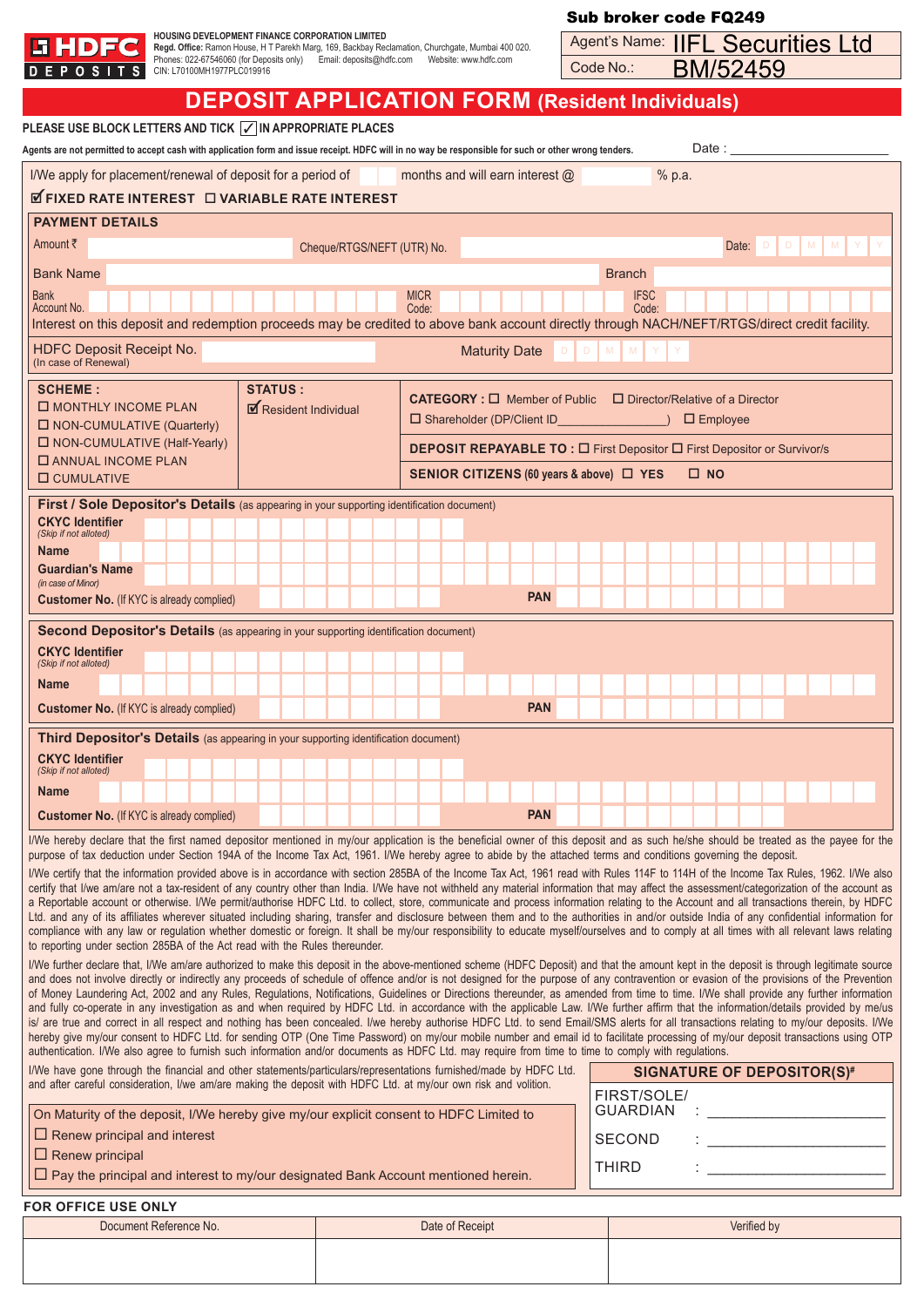

| <b>EHDFC</b>                                                                                                                                                                                                                                                                                                                                                                                                                                                                                                                                                                                                                                                                                                                                                                                                                                                                                                                                                                                                                                                                                                                                                                                                                                                                                                                                                                                                                                                                                                                                                                                                                                                                                                                                                                                                                                                                                                                                                                                                                                                                                                                                                                                                                                                                                                                                                                                                                                                                                                                                                                                                                                                                                                                                   | HOUSING DEVELOPMENT FINANCE CORPORATION LIMITED<br>Regd. Office: Ramon House, H T Parekh Marg, 169, Backbay Reclamation, Churchgate, Mumbai 400 020.<br>Phones: 022-67546060 (for Deposits only) Email: deposits@hdfc.com    Vebsite: www.hdfc.com |                                       |  |                            |                                 |                                                                                                |                      |            |           |                      |        |              |                 | Agent's Name: IIFL Securities Ltd                                               |   |   |  |
|------------------------------------------------------------------------------------------------------------------------------------------------------------------------------------------------------------------------------------------------------------------------------------------------------------------------------------------------------------------------------------------------------------------------------------------------------------------------------------------------------------------------------------------------------------------------------------------------------------------------------------------------------------------------------------------------------------------------------------------------------------------------------------------------------------------------------------------------------------------------------------------------------------------------------------------------------------------------------------------------------------------------------------------------------------------------------------------------------------------------------------------------------------------------------------------------------------------------------------------------------------------------------------------------------------------------------------------------------------------------------------------------------------------------------------------------------------------------------------------------------------------------------------------------------------------------------------------------------------------------------------------------------------------------------------------------------------------------------------------------------------------------------------------------------------------------------------------------------------------------------------------------------------------------------------------------------------------------------------------------------------------------------------------------------------------------------------------------------------------------------------------------------------------------------------------------------------------------------------------------------------------------------------------------------------------------------------------------------------------------------------------------------------------------------------------------------------------------------------------------------------------------------------------------------------------------------------------------------------------------------------------------------------------------------------------------------------------------------------------------|----------------------------------------------------------------------------------------------------------------------------------------------------------------------------------------------------------------------------------------------------|---------------------------------------|--|----------------------------|---------------------------------|------------------------------------------------------------------------------------------------|----------------------|------------|-----------|----------------------|--------|--------------|-----------------|---------------------------------------------------------------------------------|---|---|--|
| D E P O S I                                                                                                                                                                                                                                                                                                                                                                                                                                                                                                                                                                                                                                                                                                                                                                                                                                                                                                                                                                                                                                                                                                                                                                                                                                                                                                                                                                                                                                                                                                                                                                                                                                                                                                                                                                                                                                                                                                                                                                                                                                                                                                                                                                                                                                                                                                                                                                                                                                                                                                                                                                                                                                                                                                                                    | CIN: L70100MH1977PLC019916                                                                                                                                                                                                                         |                                       |  |                            |                                 |                                                                                                |                      |            | Code No.: |                      |        |              | <b>BM/52459</b> |                                                                                 |   |   |  |
| <b>DEPOSIT APPLICATION FORM (Resident Individuals)</b>                                                                                                                                                                                                                                                                                                                                                                                                                                                                                                                                                                                                                                                                                                                                                                                                                                                                                                                                                                                                                                                                                                                                                                                                                                                                                                                                                                                                                                                                                                                                                                                                                                                                                                                                                                                                                                                                                                                                                                                                                                                                                                                                                                                                                                                                                                                                                                                                                                                                                                                                                                                                                                                                                         |                                                                                                                                                                                                                                                    |                                       |  |                            |                                 |                                                                                                |                      |            |           |                      |        |              |                 |                                                                                 |   |   |  |
| PLEASE USE BLOCK LETTERS AND TICK $\boxed{\checkmark}$ in appropriate places<br>Agents are not permitted to accept cash with application form and issue receipt. HDFC will in no way be responsible for such or other wrong tenders.                                                                                                                                                                                                                                                                                                                                                                                                                                                                                                                                                                                                                                                                                                                                                                                                                                                                                                                                                                                                                                                                                                                                                                                                                                                                                                                                                                                                                                                                                                                                                                                                                                                                                                                                                                                                                                                                                                                                                                                                                                                                                                                                                                                                                                                                                                                                                                                                                                                                                                           |                                                                                                                                                                                                                                                    |                                       |  |                            |                                 |                                                                                                |                      |            |           |                      |        |              |                 |                                                                                 |   |   |  |
| I/We apply for placement/renewal of deposit for a period of                                                                                                                                                                                                                                                                                                                                                                                                                                                                                                                                                                                                                                                                                                                                                                                                                                                                                                                                                                                                                                                                                                                                                                                                                                                                                                                                                                                                                                                                                                                                                                                                                                                                                                                                                                                                                                                                                                                                                                                                                                                                                                                                                                                                                                                                                                                                                                                                                                                                                                                                                                                                                                                                                    |                                                                                                                                                                                                                                                    |                                       |  |                            | months and will earn interest @ |                                                                                                |                      |            |           |                      | % p.a. |              |                 |                                                                                 |   |   |  |
| <b>ØFIXED RATE INTEREST DVARIABLE RATE INTEREST</b>                                                                                                                                                                                                                                                                                                                                                                                                                                                                                                                                                                                                                                                                                                                                                                                                                                                                                                                                                                                                                                                                                                                                                                                                                                                                                                                                                                                                                                                                                                                                                                                                                                                                                                                                                                                                                                                                                                                                                                                                                                                                                                                                                                                                                                                                                                                                                                                                                                                                                                                                                                                                                                                                                            |                                                                                                                                                                                                                                                    |                                       |  |                            |                                 |                                                                                                |                      |            |           |                      |        |              |                 |                                                                                 |   |   |  |
| <b>PAYMENT DETAILS</b>                                                                                                                                                                                                                                                                                                                                                                                                                                                                                                                                                                                                                                                                                                                                                                                                                                                                                                                                                                                                                                                                                                                                                                                                                                                                                                                                                                                                                                                                                                                                                                                                                                                                                                                                                                                                                                                                                                                                                                                                                                                                                                                                                                                                                                                                                                                                                                                                                                                                                                                                                                                                                                                                                                                         |                                                                                                                                                                                                                                                    |                                       |  |                            |                                 |                                                                                                |                      |            |           |                      |        |              |                 |                                                                                 |   |   |  |
| Amount ₹                                                                                                                                                                                                                                                                                                                                                                                                                                                                                                                                                                                                                                                                                                                                                                                                                                                                                                                                                                                                                                                                                                                                                                                                                                                                                                                                                                                                                                                                                                                                                                                                                                                                                                                                                                                                                                                                                                                                                                                                                                                                                                                                                                                                                                                                                                                                                                                                                                                                                                                                                                                                                                                                                                                                       |                                                                                                                                                                                                                                                    |                                       |  | Cheque/RTGS/NEFT (UTR) No. |                                 |                                                                                                |                      |            |           |                      |        |              | Date:           | $\Box$<br>$\Box$                                                                | M | M |  |
| <b>Bank Name</b>                                                                                                                                                                                                                                                                                                                                                                                                                                                                                                                                                                                                                                                                                                                                                                                                                                                                                                                                                                                                                                                                                                                                                                                                                                                                                                                                                                                                                                                                                                                                                                                                                                                                                                                                                                                                                                                                                                                                                                                                                                                                                                                                                                                                                                                                                                                                                                                                                                                                                                                                                                                                                                                                                                                               |                                                                                                                                                                                                                                                    |                                       |  |                            |                                 |                                                                                                |                      |            |           | <b>Branch</b>        |        |              |                 |                                                                                 |   |   |  |
| <b>Bank</b><br>Account No.<br>Interest on this deposit and redemption proceeds may be credited to above bank account directly through NACH/NEFT/RTGS/direct credit facility.                                                                                                                                                                                                                                                                                                                                                                                                                                                                                                                                                                                                                                                                                                                                                                                                                                                                                                                                                                                                                                                                                                                                                                                                                                                                                                                                                                                                                                                                                                                                                                                                                                                                                                                                                                                                                                                                                                                                                                                                                                                                                                                                                                                                                                                                                                                                                                                                                                                                                                                                                                   |                                                                                                                                                                                                                                                    |                                       |  |                            | <b>MICR</b><br>Code:            |                                                                                                |                      |            |           | <b>IFSC</b><br>Code: |        |              |                 |                                                                                 |   |   |  |
| <b>HDFC Deposit Receipt No.</b><br>(In case of Renewal)                                                                                                                                                                                                                                                                                                                                                                                                                                                                                                                                                                                                                                                                                                                                                                                                                                                                                                                                                                                                                                                                                                                                                                                                                                                                                                                                                                                                                                                                                                                                                                                                                                                                                                                                                                                                                                                                                                                                                                                                                                                                                                                                                                                                                                                                                                                                                                                                                                                                                                                                                                                                                                                                                        |                                                                                                                                                                                                                                                    |                                       |  |                            |                                 |                                                                                                | <b>Maturity Date</b> |            |           |                      |        |              |                 |                                                                                 |   |   |  |
| <b>SCHEME:</b><br><b>O MONTHLY INCOME PLAN</b><br>□ NON-CUMULATIVE (Quarterly)                                                                                                                                                                                                                                                                                                                                                                                                                                                                                                                                                                                                                                                                                                                                                                                                                                                                                                                                                                                                                                                                                                                                                                                                                                                                                                                                                                                                                                                                                                                                                                                                                                                                                                                                                                                                                                                                                                                                                                                                                                                                                                                                                                                                                                                                                                                                                                                                                                                                                                                                                                                                                                                                 |                                                                                                                                                                                                                                                    | <b>STATUS:</b><br>Resident Individual |  |                            |                                 | CATEGORY : □ Member of Public □ Director/Relative of a Director<br>□ Shareholder (DP/Client ID |                      |            |           |                      |        |              | $\Box$ Employee |                                                                                 |   |   |  |
| □ NON-CUMULATIVE (Half-Yearly)<br><b>O ANNUAL INCOME PLAN</b>                                                                                                                                                                                                                                                                                                                                                                                                                                                                                                                                                                                                                                                                                                                                                                                                                                                                                                                                                                                                                                                                                                                                                                                                                                                                                                                                                                                                                                                                                                                                                                                                                                                                                                                                                                                                                                                                                                                                                                                                                                                                                                                                                                                                                                                                                                                                                                                                                                                                                                                                                                                                                                                                                  |                                                                                                                                                                                                                                                    |                                       |  |                            |                                 |                                                                                                |                      |            |           |                      |        |              |                 | <b>DEPOSIT REPAYABLE TO : O First Depositor O First Depositor or Survivor/s</b> |   |   |  |
| <b>O</b> CUMULATIVE                                                                                                                                                                                                                                                                                                                                                                                                                                                                                                                                                                                                                                                                                                                                                                                                                                                                                                                                                                                                                                                                                                                                                                                                                                                                                                                                                                                                                                                                                                                                                                                                                                                                                                                                                                                                                                                                                                                                                                                                                                                                                                                                                                                                                                                                                                                                                                                                                                                                                                                                                                                                                                                                                                                            |                                                                                                                                                                                                                                                    |                                       |  |                            |                                 | SENIOR CITIZENS (60 years & above) □ YES                                                       |                      |            |           |                      |        | $\square$ NO |                 |                                                                                 |   |   |  |
| First / Sole Depositor's Details (as appearing in your supporting identification document)<br><b>CKYC Identifier</b><br>(Skip if not alloted)                                                                                                                                                                                                                                                                                                                                                                                                                                                                                                                                                                                                                                                                                                                                                                                                                                                                                                                                                                                                                                                                                                                                                                                                                                                                                                                                                                                                                                                                                                                                                                                                                                                                                                                                                                                                                                                                                                                                                                                                                                                                                                                                                                                                                                                                                                                                                                                                                                                                                                                                                                                                  |                                                                                                                                                                                                                                                    |                                       |  |                            |                                 |                                                                                                |                      |            |           |                      |        |              |                 |                                                                                 |   |   |  |
| <b>Name</b><br><b>Guardian's Name</b>                                                                                                                                                                                                                                                                                                                                                                                                                                                                                                                                                                                                                                                                                                                                                                                                                                                                                                                                                                                                                                                                                                                                                                                                                                                                                                                                                                                                                                                                                                                                                                                                                                                                                                                                                                                                                                                                                                                                                                                                                                                                                                                                                                                                                                                                                                                                                                                                                                                                                                                                                                                                                                                                                                          |                                                                                                                                                                                                                                                    |                                       |  |                            |                                 |                                                                                                |                      |            |           |                      |        |              |                 |                                                                                 |   |   |  |
| (in case of Minor)                                                                                                                                                                                                                                                                                                                                                                                                                                                                                                                                                                                                                                                                                                                                                                                                                                                                                                                                                                                                                                                                                                                                                                                                                                                                                                                                                                                                                                                                                                                                                                                                                                                                                                                                                                                                                                                                                                                                                                                                                                                                                                                                                                                                                                                                                                                                                                                                                                                                                                                                                                                                                                                                                                                             |                                                                                                                                                                                                                                                    |                                       |  |                            |                                 |                                                                                                |                      | <b>PAN</b> |           |                      |        |              |                 |                                                                                 |   |   |  |
| <b>Customer No.</b> (If KYC is already complied)                                                                                                                                                                                                                                                                                                                                                                                                                                                                                                                                                                                                                                                                                                                                                                                                                                                                                                                                                                                                                                                                                                                                                                                                                                                                                                                                                                                                                                                                                                                                                                                                                                                                                                                                                                                                                                                                                                                                                                                                                                                                                                                                                                                                                                                                                                                                                                                                                                                                                                                                                                                                                                                                                               |                                                                                                                                                                                                                                                    |                                       |  |                            |                                 |                                                                                                |                      |            |           |                      |        |              |                 |                                                                                 |   |   |  |
| <b>Second Depositor's Details</b> (as appearing in your supporting identification document)<br><b>CKYC Identifier</b>                                                                                                                                                                                                                                                                                                                                                                                                                                                                                                                                                                                                                                                                                                                                                                                                                                                                                                                                                                                                                                                                                                                                                                                                                                                                                                                                                                                                                                                                                                                                                                                                                                                                                                                                                                                                                                                                                                                                                                                                                                                                                                                                                                                                                                                                                                                                                                                                                                                                                                                                                                                                                          |                                                                                                                                                                                                                                                    |                                       |  |                            |                                 |                                                                                                |                      |            |           |                      |        |              |                 |                                                                                 |   |   |  |
| (Skip if not alloted)<br><b>Name</b>                                                                                                                                                                                                                                                                                                                                                                                                                                                                                                                                                                                                                                                                                                                                                                                                                                                                                                                                                                                                                                                                                                                                                                                                                                                                                                                                                                                                                                                                                                                                                                                                                                                                                                                                                                                                                                                                                                                                                                                                                                                                                                                                                                                                                                                                                                                                                                                                                                                                                                                                                                                                                                                                                                           |                                                                                                                                                                                                                                                    |                                       |  |                            |                                 |                                                                                                |                      |            |           |                      |        |              |                 |                                                                                 |   |   |  |
| <b>Customer No.</b> (If KYC is already complied)                                                                                                                                                                                                                                                                                                                                                                                                                                                                                                                                                                                                                                                                                                                                                                                                                                                                                                                                                                                                                                                                                                                                                                                                                                                                                                                                                                                                                                                                                                                                                                                                                                                                                                                                                                                                                                                                                                                                                                                                                                                                                                                                                                                                                                                                                                                                                                                                                                                                                                                                                                                                                                                                                               |                                                                                                                                                                                                                                                    |                                       |  |                            |                                 |                                                                                                |                      | <b>PAN</b> |           |                      |        |              |                 |                                                                                 |   |   |  |
| <b>Third Depositor's Details</b> (as appearing in your supporting identification document)                                                                                                                                                                                                                                                                                                                                                                                                                                                                                                                                                                                                                                                                                                                                                                                                                                                                                                                                                                                                                                                                                                                                                                                                                                                                                                                                                                                                                                                                                                                                                                                                                                                                                                                                                                                                                                                                                                                                                                                                                                                                                                                                                                                                                                                                                                                                                                                                                                                                                                                                                                                                                                                     |                                                                                                                                                                                                                                                    |                                       |  |                            |                                 |                                                                                                |                      |            |           |                      |        |              |                 |                                                                                 |   |   |  |
| <b>CKYC Identifier</b><br>(Skip if not alloted)                                                                                                                                                                                                                                                                                                                                                                                                                                                                                                                                                                                                                                                                                                                                                                                                                                                                                                                                                                                                                                                                                                                                                                                                                                                                                                                                                                                                                                                                                                                                                                                                                                                                                                                                                                                                                                                                                                                                                                                                                                                                                                                                                                                                                                                                                                                                                                                                                                                                                                                                                                                                                                                                                                |                                                                                                                                                                                                                                                    |                                       |  |                            |                                 |                                                                                                |                      |            |           |                      |        |              |                 |                                                                                 |   |   |  |
| <b>Name</b>                                                                                                                                                                                                                                                                                                                                                                                                                                                                                                                                                                                                                                                                                                                                                                                                                                                                                                                                                                                                                                                                                                                                                                                                                                                                                                                                                                                                                                                                                                                                                                                                                                                                                                                                                                                                                                                                                                                                                                                                                                                                                                                                                                                                                                                                                                                                                                                                                                                                                                                                                                                                                                                                                                                                    |                                                                                                                                                                                                                                                    |                                       |  |                            |                                 |                                                                                                |                      |            |           |                      |        |              |                 |                                                                                 |   |   |  |
| <b>Customer No.</b> (If KYC is already complied)                                                                                                                                                                                                                                                                                                                                                                                                                                                                                                                                                                                                                                                                                                                                                                                                                                                                                                                                                                                                                                                                                                                                                                                                                                                                                                                                                                                                                                                                                                                                                                                                                                                                                                                                                                                                                                                                                                                                                                                                                                                                                                                                                                                                                                                                                                                                                                                                                                                                                                                                                                                                                                                                                               |                                                                                                                                                                                                                                                    |                                       |  |                            |                                 |                                                                                                |                      | <b>PAN</b> |           |                      |        |              |                 |                                                                                 |   |   |  |
|                                                                                                                                                                                                                                                                                                                                                                                                                                                                                                                                                                                                                                                                                                                                                                                                                                                                                                                                                                                                                                                                                                                                                                                                                                                                                                                                                                                                                                                                                                                                                                                                                                                                                                                                                                                                                                                                                                                                                                                                                                                                                                                                                                                                                                                                                                                                                                                                                                                                                                                                                                                                                                                                                                                                                |                                                                                                                                                                                                                                                    |                                       |  |                            |                                 |                                                                                                |                      |            |           |                      |        |              |                 |                                                                                 |   |   |  |
| I/We hereby declare that the first named depositor mentioned in my/our application is the beneficial owner of this deposit and as such he/she should be treated as the payee for the<br>purpose of tax deduction under Section 194A of the Income Tax Act, 1961. I/We hereby agree to abide by the attached terms and conditions governing the deposit.<br>I/We certify that the information provided above is in accordance with section 285BA of the Income Tax Act, 1961 read with Rules 114F to 114H of the Income Tax Rules, 1962. I/We also<br>certify that I/we am/are not a tax-resident of any country other than India. I/We have not withheld any material information that may affect the assessment/categorization of the account as<br>a Reportable account or otherwise. I/We permit/authorise HDFC Ltd. to collect, store, communicate and process information relating to the Account and all transactions therein, by HDFC<br>Ltd. and any of its affiliates wherever situated including sharing, transfer and disclosure between them and to the authorities in and/or outside India of any confidential information for<br>compliance with any law or regulation whether domestic or foreign. It shall be my/our responsibility to educate myself/ourselves and to comply at all times with all relevant laws relating<br>to reporting under section 285BA of the Act read with the Rules thereunder.<br>I/We further declare that, I/We am/are authorized to make this deposit in the above-mentioned scheme (HDFC Deposit) and that the amount kept in the deposit is through legitimate source<br>and does not involve directly or indirectly any proceeds of schedule of offence and/or is not designed for the purpose of any contravention or evasion of the provisions of the Prevention<br>of Money Laundering Act, 2002 and any Rules, Regulations, Notifications, Guidelines or Directions thereunder, as amended from time to time. I/We shall provide any further information<br>and fully co-operate in any investigation as and when required by HDFC Ltd. in accordance with the applicable Law. I/We further affirm that the information/details provided by me/us<br>is/ are true and correct in all respect and nothing has been concealed. I/we hereby authorise HDFC Ltd. to send Email/SMS alerts for all transactions relating to my/our deposits. I/We<br>hereby give my/our consent to HDFC Ltd. for sending OTP (One Time Password) on my/our mobile number and email id to facilitate processing of my/our deposit transactions using OTP<br>authentication. I/We also agree to furnish such information and/or documents as HDFC Ltd. may require from time to time to comply with regulations. |                                                                                                                                                                                                                                                    |                                       |  |                            |                                 |                                                                                                |                      |            |           |                      |        |              |                 |                                                                                 |   |   |  |

| I/We have gone through the financial and other statements/particulars/representations furnished/made by HDFC Ltd. | <b>SIGNATURE OF DEPOSITOR(S)#</b> |  |  |  |  |  |
|-------------------------------------------------------------------------------------------------------------------|-----------------------------------|--|--|--|--|--|
| and after careful consideration, I/we am/are making the deposit with HDFC Ltd. at my/our own risk and volition.   | FIRST/SOLE/                       |  |  |  |  |  |
| On Maturity of the deposit, I/We hereby give my/our explicit consent to HDFC Limited to                           | GUARDIAN                          |  |  |  |  |  |
| $\Box$ Renew principal and interest                                                                               | <b>SECOND</b>                     |  |  |  |  |  |
| $\Box$ Renew principal                                                                                            | <b>THIRD</b>                      |  |  |  |  |  |
| $\Box$ Pay the principal and interest to my/our designated Bank Account mentioned herein.                         |                                   |  |  |  |  |  |

#### **FOR OFFICE USE ONLY**

| Document Reference No. | Date of Receipt | Verified by |
|------------------------|-----------------|-------------|
|                        |                 |             |